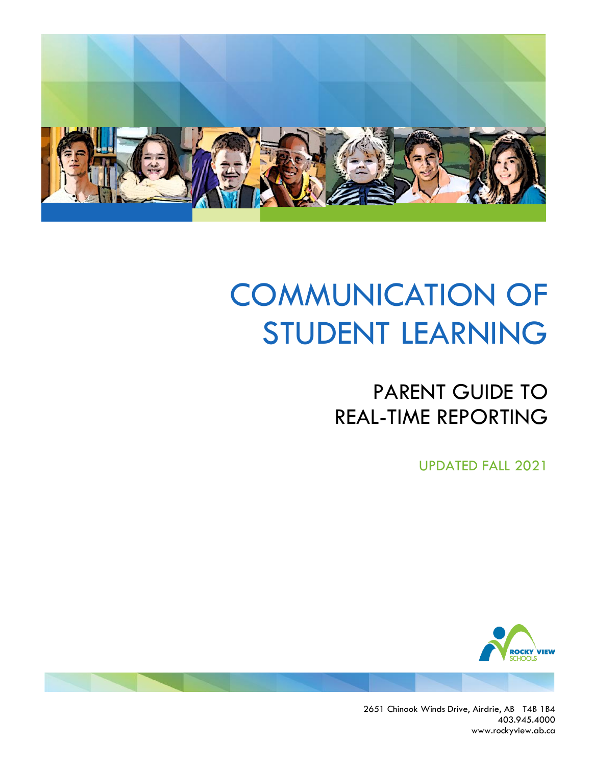

## PARENT GUIDE TO REAL-TIME REPORTING

UPDATED FALL 2021



2651 Chinook Winds Drive, Airdrie, AB T4B 1B4 403.945.4000 www.rockyview.ab.ca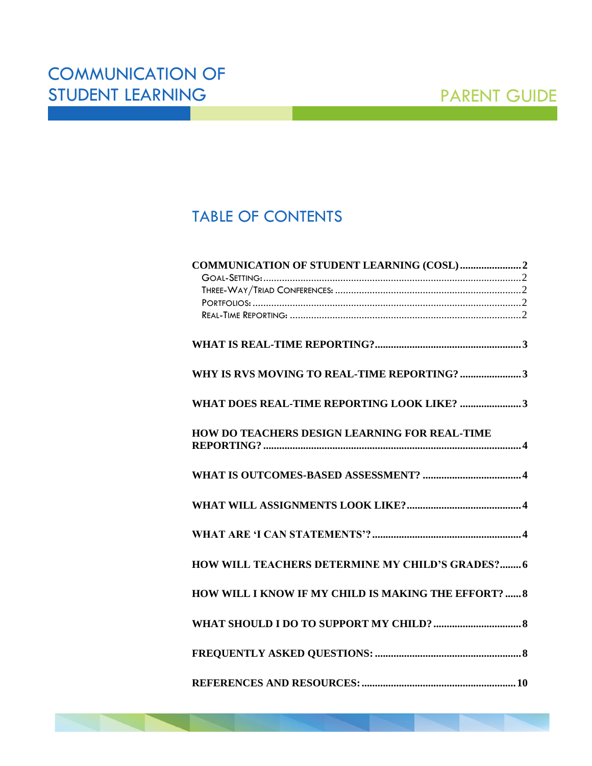## TABLE OF CONTENTS

| WHY IS RVS MOVING TO REAL-TIME REPORTING? 3                 |
|-------------------------------------------------------------|
| WHAT DOES REAL-TIME REPORTING LOOK LIKE? 3                  |
| HOW DO TEACHERS DESIGN LEARNING FOR REAL-TIME               |
|                                                             |
|                                                             |
|                                                             |
| <b>HOW WILL TEACHERS DETERMINE MY CHILD'S GRADES? 6</b>     |
| <b>HOW WILL I KNOW IF MY CHILD IS MAKING THE EFFORT?  8</b> |
|                                                             |
|                                                             |
|                                                             |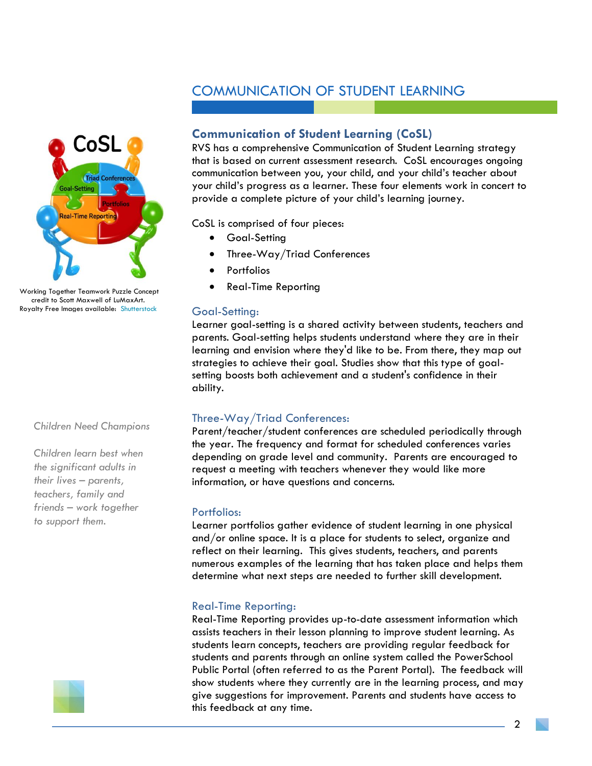

Working Together Teamwork Puzzle Concept credit to Scott Maxwell of LuMaxArt. Royalty Free Images available: [Shutterstock](https://www.shutterstock.com/g/lumaxart2d/sets/557077?page=1§ion=1)

#### *Children Need Champions*

*Children learn best when the significant adults in their lives – parents, teachers, family and friends – work together to support them.*



### <span id="page-2-0"></span>**Communication of Student Learning (CoSL)**

RVS has a comprehensive Communication of Student Learning strategy that is based on current assessment research. CoSL encourages ongoing communication between you, your child, and your child's teacher about your child's progress as a learner. These four elements work in concert to provide a complete picture of your child's learning journey.

CoSL is comprised of four pieces:

- Goal-Setting
- Three-Way/Triad Conferences
- **Portfolios**
- Real-Time Reporting

#### <span id="page-2-1"></span>Goal-Setting:

Learner goal-setting is a shared activity between students, teachers and parents. Goal-setting helps students understand where they are in their learning and envision where they'd like to be. From there, they map out strategies to achieve their goal. Studies show that this type of goalsetting boosts both achievement and a student's confidence in their ability.

#### <span id="page-2-2"></span>Three-Way/Triad Conferences:

Parent/teacher/student conferences are scheduled periodically through the year. The frequency and format for scheduled conferences varies depending on grade level and community. Parents are encouraged to request a meeting with teachers whenever they would like more information, or have questions and concerns.

#### <span id="page-2-3"></span>Portfolios:

Learner portfolios gather evidence of student learning in one physical and/or online space. It is a place for students to select, organize and reflect on their learning. This gives students, teachers, and parents numerous examples of the learning that has taken place and helps them determine what next steps are needed to further skill development.

#### <span id="page-2-4"></span>Real-Time Reporting:

Real-Time Reporting provides up-to-date assessment information which assists teachers in their lesson planning to improve student learning. As students learn concepts, teachers are providing regular feedback for students and parents through an online system called the PowerSchool Public Portal (often referred to as the Parent Portal). The feedback will show students where they currently are in the learning process, and may give suggestions for improvement. Parents and students have access to this feedback at any time.

2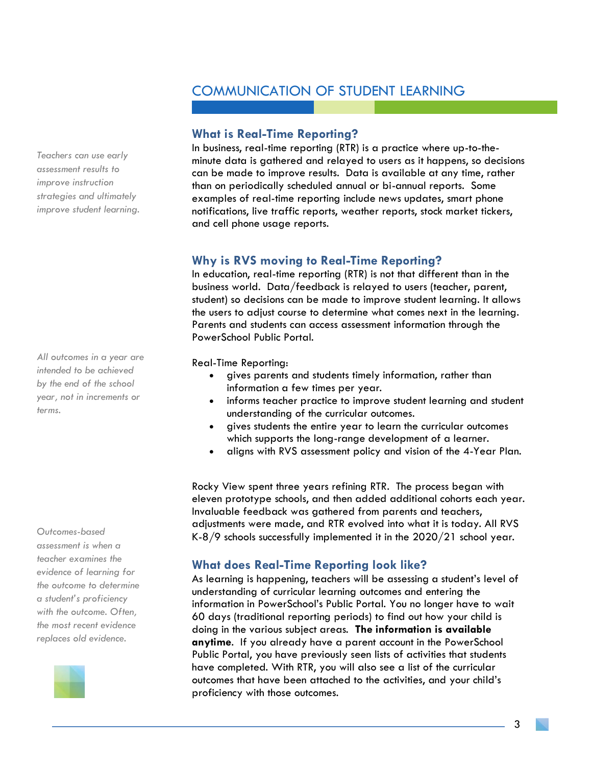#### <span id="page-3-0"></span>**What is Real-Time Reporting?**

In business, real-time reporting (RTR) is a practice where up-to-theminute data is gathered and relayed to users as it happens, so decisions can be made to improve results. Data is available at any time, rather than on periodically scheduled annual or bi-annual reports. Some examples of real-time reporting include news updates, smart phone notifications, live traffic reports, weather reports, stock market tickers, and cell phone usage reports.

#### <span id="page-3-1"></span>**Why is RVS moving to Real-Time Reporting?**

In education, real-time reporting (RTR) is not that different than in the business world. Data/feedback is relayed to users (teacher, parent, student) so decisions can be made to improve student learning. It allows the users to adjust course to determine what comes next in the learning. Parents and students can access assessment information through the PowerSchool Public Portal.

Real-Time Reporting:

- gives parents and students timely information, rather than information a few times per year.
- informs teacher practice to improve student learning and student understanding of the curricular outcomes.
- gives students the entire year to learn the curricular outcomes which supports the long-range development of a learner.
- aligns with RVS assessment policy and vision of the 4-Year Plan.

Rocky View spent three years refining RTR. The process began with eleven prototype schools, and then added additional cohorts each year. Invaluable feedback was gathered from parents and teachers, adjustments were made, and RTR evolved into what it is today. All RVS K-8/9 schools successfully implemented it in the 2020/21 school year.

#### <span id="page-3-2"></span>**What does Real-Time Reporting look like?**

As learning is happening, teachers will be assessing a student's level of understanding of curricular learning outcomes and entering the information in PowerSchool's Public Portal. You no longer have to wait 60 days (traditional reporting periods) to find out how your child is doing in the various subject areas. **The information is available anytime**. If you already have a parent account in the PowerSchool Public Portal, you have previously seen lists of activities that students have completed. With RTR, you will also see a list of the curricular outcomes that have been attached to the activities, and your child's proficiency with those outcomes.

*Teachers can use early assessment results to improve instruction strategies and ultimately improve student learning.*

*All outcomes in a year are intended to be achieved by the end of the school year, not in increments or terms.*

*Outcomes-based assessment is when a teacher examines the evidence of learning for the outcome to determine a student's proficiency with the outcome. Often, the most recent evidence replaces old evidence.*

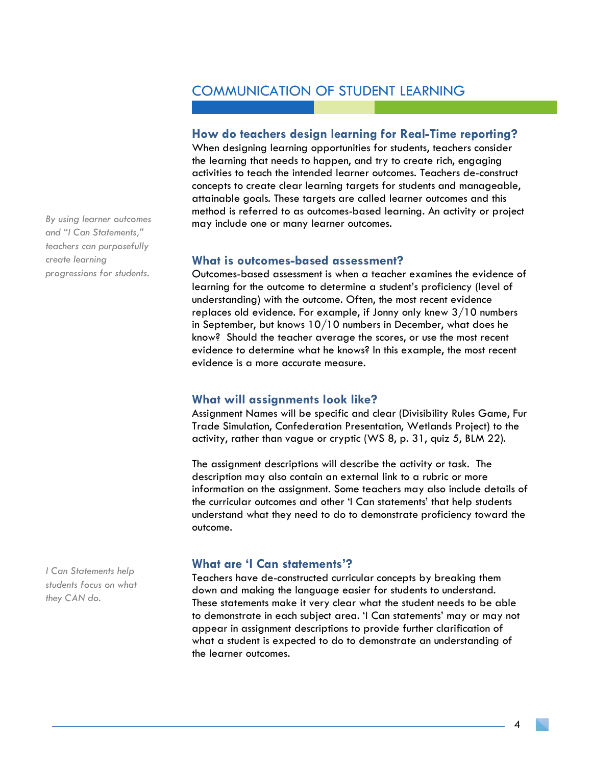#### <span id="page-4-0"></span>**How do teachers design learning for Real-Time reporting?**

When designing learning opportunities for students, teachers consider the learning that needs to happen, and try to create rich, engaging activities to teach the intended learner outcomes. Teachers de-construct concepts to create clear learning targets for students and manageable, attainable goals. These targets are called learner outcomes and this method is referred to as outcomes-based learning. An activity or project may include one or many learner outcomes.

#### <span id="page-4-1"></span>**What is outcomes-based assessment?**

Outcomes-based assessment is when a teacher examines the evidence of learning for the outcome to determine a student's proficiency (level of understanding) with the outcome. Often, the most recent evidence replaces old evidence. For example, if Jonny only knew 3/10 numbers in September, but knows 10/10 numbers in December, what does he know? Should the teacher average the scores, or use the most recent evidence to determine what he knows? In this example, the most recent evidence is a more accurate measure.

#### <span id="page-4-2"></span>**What will assignments look like?**

Assignment Names will be specific and clear (Divisibility Rules Game, Fur Trade Simulation, Confederation Presentation, Wetlands Project) to the activity, rather than vague or cryptic (WS 8, p. 31, quiz 5, BLM 22).

The assignment descriptions will describe the activity or task. The description may also contain an external link to a rubric or more information on the assignment. Some teachers may also include details of the curricular outcomes and other 'I Can statements' that help students understand what they need to do to demonstrate proficiency toward the outcome.

#### <span id="page-4-3"></span>**What are 'I Can statements'?**

Teachers have de-constructed curricular concepts by breaking them down and making the language easier for students to understand. These statements make it very clear what the student needs to be able to demonstrate in each subject area. 'I Can statements' may or may not appear in assignment descriptions to provide further clarification of what a student is expected to do to demonstrate an understanding of the learner outcomes.

*By using learner outcomes and "I Can Statements," teachers can purposefully create learning progressions for students.*

*I Can Statements help students focus on what they CAN do.*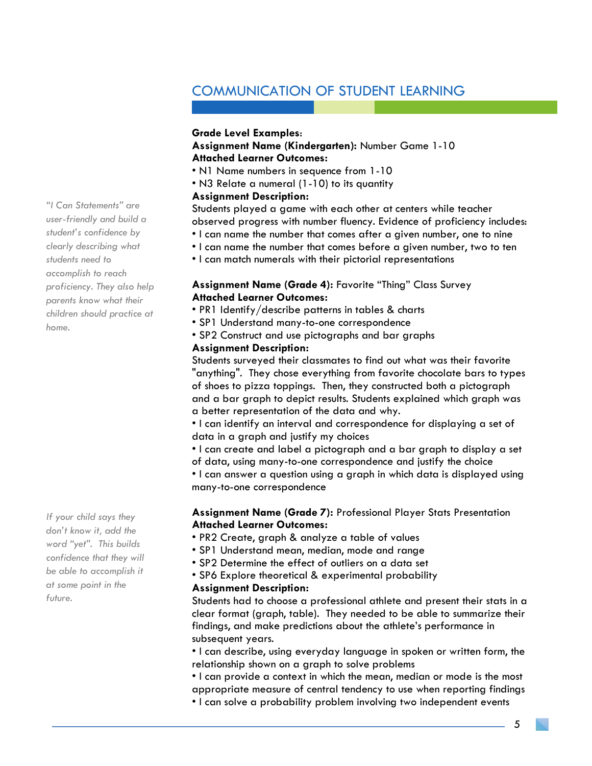#### **Grade Level Examples**:

#### **Assignment Name (Kindergarten):** Number Game 1-10 **Attached Learner Outcomes:**

- N1 Name numbers in sequence from 1-10
- N3 Relate a numeral (1-10) to its quantity

#### **Assignment Description:**

Students played a game with each other at centers while teacher observed progress with number fluency. Evidence of proficiency includes:

- I can name the number that comes after a given number, one to nine
- I can name the number that comes before a given number, two to ten
- I can match numerals with their pictorial representations

#### **Assignment Name (Grade 4):** Favorite "Thing" Class Survey **Attached Learner Outcomes:**

- PR1 Identify/describe patterns in tables & charts
- SP1 Understand many-to-one correspondence
- SP2 Construct and use pictographs and bar graphs

#### **Assignment Description:**

Students surveyed their classmates to find out what was their favorite "anything". They chose everything from favorite chocolate bars to types of shoes to pizza toppings. Then, they constructed both a pictograph and a bar graph to depict results. Students explained which graph was a better representation of the data and why.

• I can identify an interval and correspondence for displaying a set of data in a graph and justify my choices

• I can create and label a pictograph and a bar graph to display a set

of data, using many-to-one correspondence and justify the choice

• I can answer a question using a graph in which data is displayed using many-to-one correspondence

#### **Assignment Name (Grade 7):** Professional Player Stats Presentation **Attached Learner Outcomes:**

- PR2 Create, graph & analyze a table of values
- SP1 Understand mean, median, mode and range
- SP2 Determine the effect of outliers on a data set
- SP6 Explore theoretical & experimental probability

#### **Assignment Description:**

Students had to choose a professional athlete and present their stats in a clear format (graph, table). They needed to be able to summarize their findings, and make predictions about the athlete's performance in subsequent years.

• I can describe, using everyday language in spoken or written form, the relationship shown on a graph to solve problems

• I can provide a context in which the mean, median or mode is the most appropriate measure of central tendency to use when reporting findings

• I can solve a probability problem involving two independent events

*"I Can Statements" are user-friendly and build a student's confidence by clearly describing what students need to accomplish to reach proficiency. They also help parents know what their children should practice at home.*

*If your child says they don't know it, add the word "yet". This builds confidence that they will be able to accomplish it at some point in the future.*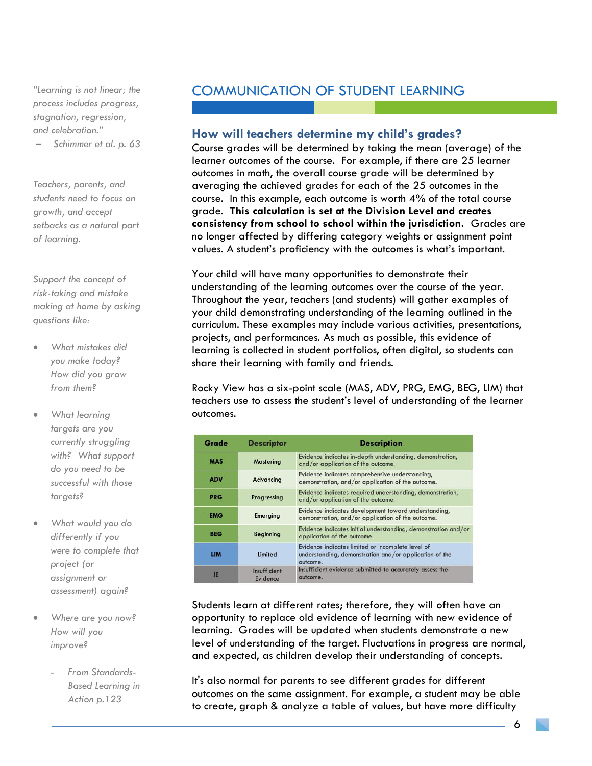*"Learning is not linear; the process includes progress, stagnation, regression, and celebration."*

– *Schimmer et al. p. 63*

*Teachers, parents, and students need to focus on growth, and accept setbacks as a natural part of learning.*

*Support the concept of risk-taking and mistake making at home by asking questions like:*

- *What mistakes did you make today? How did you grow from them?*
- *What learning targets are you currently struggling with? What support do you need to be successful with those targets?*
- *What would you do differently if you were to complete that project (or assignment or assessment) again?*
- *Where are you now? How will you improve?*
	- *From Standards-Based Learning in Action p.123*

## COMMUNICATION OF STUDENT LEARNING

#### <span id="page-6-0"></span>**How will teachers determine my child's grades?**

Course grades will be determined by taking the mean (average) of the learner outcomes of the course. For example, if there are 25 learner outcomes in math, the overall course grade will be determined by averaging the achieved grades for each of the 25 outcomes in the course. In this example, each outcome is worth 4% of the total course grade. **This calculation is set at the Division Level and creates consistency from school to school within the jurisdiction.** Grades are no longer affected by differing category weights or assignment point values. A student's proficiency with the outcomes is what's important.

Your child will have many opportunities to demonstrate their understanding of the learning outcomes over the course of the year. Throughout the year, teachers (and students) will gather examples of your child demonstrating understanding of the learning outlined in the curriculum. These examples may include various activities, presentations, projects, and performances. As much as possible, this evidence of learning is collected in student portfolios, often digital, so students can share their learning with family and friends.

Rocky View has a six-point scale (MAS, ADV, PRG, EMG, BEG, LIM) that teachers use to assess the student's level of understanding of the learner outcomes.

| Grade      | <b>Descriptor</b>        | <b>Description</b>                                                                                                      |  |  |
|------------|--------------------------|-------------------------------------------------------------------------------------------------------------------------|--|--|
| <b>MAS</b> | Mastering                | Evidence indicates in-depth understanding, demonstration,<br>and/or application of the outcome.                         |  |  |
| <b>ADV</b> | Advancing                | Evidence indicates comprehensive understanding,<br>demonstration, and/or application of the outcome.                    |  |  |
| <b>PRG</b> | Progressing              | Evidence indicates required understanding, demonstration,<br>and/or application of the outcome.                         |  |  |
| <b>EMG</b> | Emerging                 | Evidence indicates development toward understanding,<br>demonstration, and/or application of the outcome.               |  |  |
| <b>BEG</b> | Beginning                | Evidence indicates initial understanding, demonstration and/or<br>application of the outcome.                           |  |  |
| <b>LIM</b> | Limited                  | Evidence indicates limited or incomplete level of<br>understanding, demonstration and/or application of the<br>outcome. |  |  |
| IE         | Insufficient<br>Evidence | Insufficient evidence submitted to accurately assess the<br>outcome.                                                    |  |  |

Students learn at different rates; therefore, they will often have an opportunity to replace old evidence of learning with new evidence of learning. Grades will be updated when students demonstrate a new level of understanding of the target. Fluctuations in progress are normal, and expected, as children develop their understanding of concepts.

It's also normal for parents to see different grades for different outcomes on the same assignment. For example, a student may be able to create, graph & analyze a table of values, but have more difficulty

6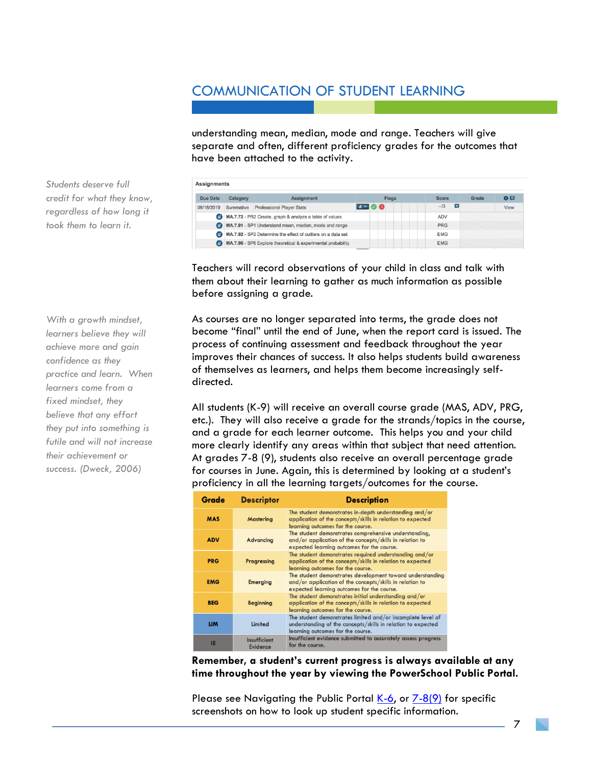understanding mean, median, mode and range. Teachers will give separate and often, different proficiency grades for the outcomes that have been attached to the activity.

| <b>Due Date</b> | Category                                                                   | <b>Assignment</b>                                     | <b>Flags</b>                                 | <b>Score</b>      | Grade | 0日   |
|-----------------|----------------------------------------------------------------------------|-------------------------------------------------------|----------------------------------------------|-------------------|-------|------|
| 06/18/2019      | Summative                                                                  | <b>Professional Player Stats</b>                      | $\blacksquare$ $\blacksquare$ $\blacksquare$ | $\equiv$<br>$-13$ |       | View |
|                 | MA.7.72 - PR2 Create, graph & analyze a table of values                    |                                                       |                                              | <b>ADV</b>        |       |      |
|                 |                                                                            | MA.7.91 - SP1 Understand mean, median, mode and range |                                              | <b>PRG</b>        |       |      |
|                 | MA.7.92 - SP2 Determine the effect of outliers on a data set<br><b>EMG</b> |                                                       |                                              |                   |       |      |
| A               | MA.7.96 - SP6 Explore theoretical & experimental probability<br><b>EMG</b> |                                                       |                                              |                   |       |      |

Teachers will record observations of your child in class and talk with them about their learning to gather as much information as possible before assigning a grade.

As courses are no longer separated into terms, the grade does not become "final" until the end of June, when the report card is issued. The process of continuing assessment and feedback throughout the year improves their chances of success. It also helps students build awareness of themselves as learners, and helps them become increasingly selfdirected.

All students (K-9) will receive an overall course grade (MAS, ADV, PRG, etc.). They will also receive a grade for the strands/topics in the course, and a grade for each learner outcome. This helps you and your child more clearly identify any areas within that subject that need attention. At grades 7-8 (9), students also receive an overall percentage grade for courses in June. Again, this is determined by looking at a student's proficiency in all the learning targets/outcomes for the course.

| Grade      | <b>Descriptor</b>        | <b>Description</b>                                                                                                                                                  |  |  |
|------------|--------------------------|---------------------------------------------------------------------------------------------------------------------------------------------------------------------|--|--|
| <b>MAS</b> | <b>Mastering</b>         | The student demonstrates in-depth understanding and/or<br>application of the concepts/skills in relation to expected<br>learning outcomes for the course.           |  |  |
| <b>ADV</b> | Advancing                | The student demonstrates comprehensive understanding,<br>and/or application of the concepts/skills in relation to<br>expected learning outcomes for the course.     |  |  |
| <b>PRG</b> | Progressing              | The student demonstrates required understanding and/or<br>application of the concepts/skills in relation to expected<br>learning outcomes for the course.           |  |  |
| <b>EMG</b> | Emerging                 | The student demonstrates development toward understanding<br>and/or application of the concepts/skills in relation to<br>expected learning outcomes for the course. |  |  |
| <b>BEG</b> | <b>Beginning</b>         | The student demonstrates initial understanding and/or<br>application of the concepts/skills in relation to expected<br>learning outcomes for the course.            |  |  |
| <b>LIM</b> | Limited                  | The student demonstrates limited and/or incomplete level of<br>understanding of the concepts/skills in relation to expected<br>learning outcomes for the course.    |  |  |
| IE         | Insufficient<br>Evidence | Insufficient evidence submitted to accurately assess progress<br>for the course.                                                                                    |  |  |

**Remember, a student's current progress is always available at any time throughout the year by viewing the PowerSchool Public Portal.**

Please see Navigating the Public Portal [K-6,](https://www.rockyview.ab.ca/families/powerschool/parent-guide-navigating-the-public-portal-k6/view) or [7-8\(9\)](https://www.rockyview.ab.ca/families/powerschool/navigating-the-public-portal-7-8-9-parents/view) for specific screenshots on how to look up student specific information.

*Students deserve full credit for what they know, regardless of how long it took them to learn it.*

*With a growth mindset, learners believe they will achieve more and gain confidence as they practice and learn. When learners come from a fixed mindset, they believe that any effort they put into something is futile and will not increase their achievement or success. (Dweck, 2006)*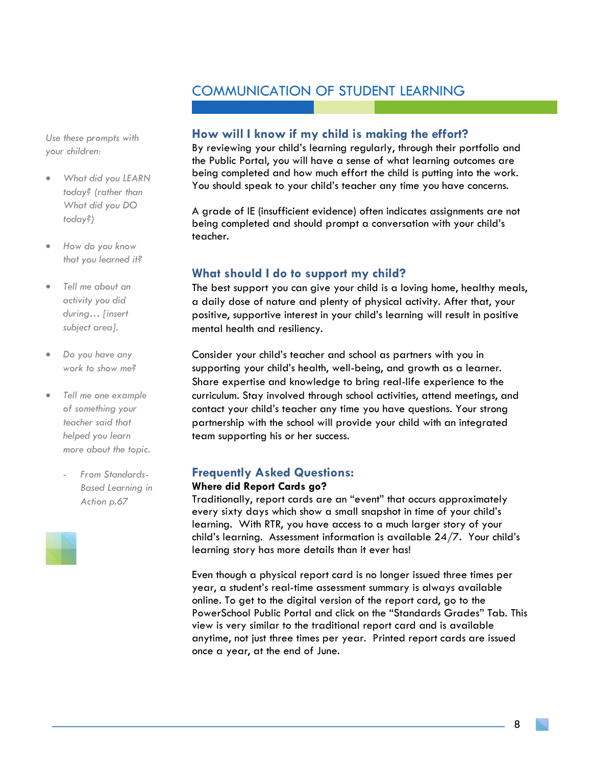*Use these prompts with your children:*

- *What did you LEARN today? (rather than What did you DO today?)*
- *How do you know that you learned it?*
- *Tell me about an activity you did during… [insert subject area].*
- *Do you have any work to show me?*
- *Tell me one example of something your teacher said that helped you learn more about the topic.*
	- *From Standards-Based Learning in Action p.67*

#### <span id="page-8-0"></span>**How will I know if my child is making the effort?**

By reviewing your child's learning regularly, through their portfolio and the Public Portal, you will have a sense of what learning outcomes are being completed and how much effort the child is putting into the work. You should speak to your child's teacher any time you have concerns.

A grade of IE (insufficient evidence) often indicates assignments are not being completed and should prompt a conversation with your child's teacher.

#### <span id="page-8-1"></span>**What should I do to support my child?**

The best support you can give your child is a loving home, healthy meals, a daily dose of nature and plenty of physical activity. After that, your positive, supportive interest in your child's learning will result in positive mental health and resiliency.

Consider your child's teacher and school as partners with you in supporting your child's health, well-being, and growth as a learner. Share expertise and knowledge to bring real-life experience to the curriculum. Stay involved through school activities, attend meetings, and contact your child's teacher any time you have questions. Your strong partnership with the school will provide your child with an integrated team supporting his or her success.

#### <span id="page-8-2"></span>**Frequently Asked Questions:**

#### **Where did Report Cards go?**

Traditionally, report cards are an "event" that occurs approximately every sixty days which show a small snapshot in time of your child's learning. With RTR, you have access to a much larger story of your child's learning. Assessment information is available 24/7. Your child's learning story has more details than it ever has!

Even though a physical report card is no longer issued three times per year, a student's real-time assessment summary is always available online. To get to the digital version of the report card, go to the PowerSchool Public Portal and click on the "Standards Grades" Tab. This view is very similar to the traditional report card and is available anytime, not just three times per year. Printed report cards are issued once a year, at the end of June.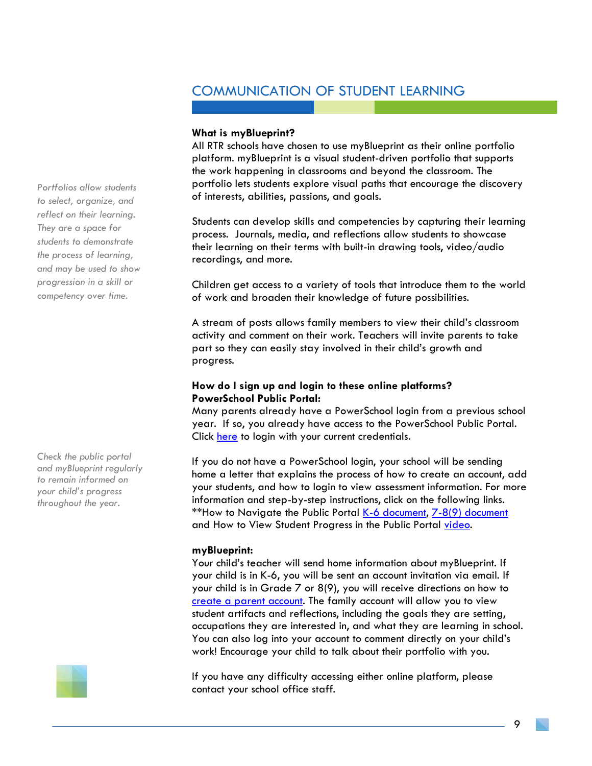#### **What is myBlueprint?**

All RTR schools have chosen to use myBlueprint as their online portfolio platform. myBlueprint is a visual student-driven portfolio that supports the work happening in classrooms and beyond the classroom. The portfolio lets students explore visual paths that encourage the discovery of interests, abilities, passions, and goals.

Students can develop skills and competencies by capturing their learning process. Journals, media, and reflections allow students to showcase their learning on their terms with built-in drawing tools, video/audio recordings, and more.

Children get access to a variety of tools that introduce them to the world of work and broaden their knowledge of future possibilities.

A stream of posts allows family members to view their child's classroom activity and comment on their work. Teachers will invite parents to take part so they can easily stay involved in their child's growth and progress.

#### **How do I sign up and login to these online platforms? PowerSchool Public Portal:**

Many parents already have a PowerSchool login from a previous school year. If so, you already have access to the PowerSchool Public Portal. Click [here](https://ps.rockyview.ab.ca/public/) to login with your current credentials.

If you do not have a PowerSchool login, your school will be sending home a letter that explains the process of how to create an account, add your students, and how to login to view assessment information. For more information and step-by-step instructions, click on the following links. \*\*How to Navigate the Public Portal K-6 [document,](https://www.rockyview.ab.ca/families/powerschool/parent-guide-navigating-the-public-portal-k6/view) [7-8\(9\) document](https://www.rockyview.ab.ca/families/powerschool/navigating-the-public-portal-7-8-9-parents/view) and How to View Student Progress in the Public Portal [video.](https://drive.google.com/file/d/1enEOd6km3XDSBbd4BAJNjS3bwiqqxC19/view?usp=sharing)

#### **myBlueprint:**

Your child's teacher will send home information about myBlueprint. If your child is in K-6, you will be sent an account invitation via email. If your child is in Grade 7 or 8(9), you will receive directions on how to [create a parent account.](https://app.myblueprint.ca/register?sdid=rockyview) The family account will allow you to view student artifacts and reflections, including the goals they are setting, occupations they are interested in, and what they are learning in school. You can also log into your account to comment directly on your child's work! Encourage your child to talk about their portfolio with you.

If you have any difficulty accessing either online platform, please contact your school office staff.

*Portfolios allow students to select, organize, and reflect on their learning. They are a space for students to demonstrate the process of learning, and may be used to show progression in a skill or competency over time.*

*Check the public portal and myBlueprint regularly to remain informed on your child's progress throughout the year.*